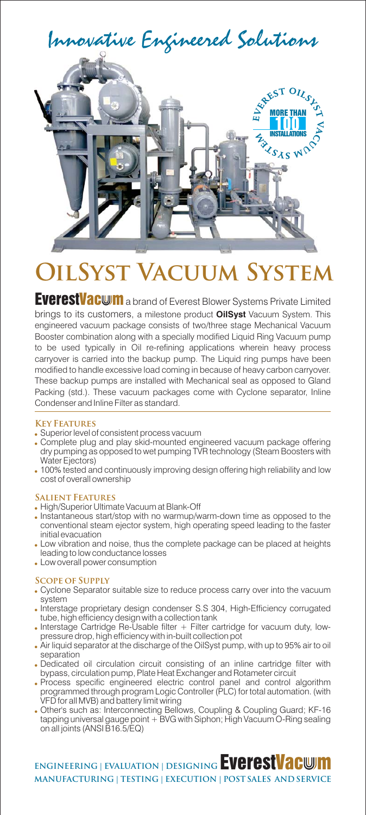

# **OilSyst Vacuum System**

EverestVacwm a brand of Everest Blower Systems Private Limited brings to its customers, a milestone product **OilSyst** Vacuum System. This engineered vacuum package consists of two/three stage Mechanical Vacuum Booster combination along with a specially modified Liquid Ring Vacuum pump to be used typically in Oil re-refining applications wherein heavy process carryover is carried into the backup pump. The Liquid ring pumps have been modified to handle excessive load coming in because of heavy carbon carryover. These backup pumps are installed with Mechanical seal as opposed to Gland Packing (std.). These vacuum packages come with Cyclone separator, Inline Condenser and Inline Filter as standard.

#### **Key Features**

- Superior level of consistent process vacuum
- Complete plug and play skid-mounted engineered vacuum package offering dry pumping as opposed to wet pumping TVR technology (Steam Boosters with Water Ejectors)
- 100% tested and continuously improving design offering high reliability and low cost of overall ownership

#### **Salient Features**

- High/Superior Ultimate Vacuum at Blank-Off
- Instantaneous start/stop with no warmup/warm-down time as opposed to the conventional steam ejector system, high operating speed leading to the faster initial evacuation
- Low vibration and noise, thus the complete package can be placed at heights leading to low conductance losses
- Low overall power consumption

#### **Scope of Supply**

- Cyclone Separator suitable size to reduce process carry over into the vacuum system
- Interstage proprietary design condenser S.S 304, High-Efficiency corrugated tube, high efficiency design with a collection tank
- . Interstage Cartridge Re-Usable filter + Filter cartridge for vacuum duty, lowpressure drop, high efficiency with in-built collection pot
- Air liquid separator at the discharge of the OilSyst pump, with up to 95% air to oil separation
- Dedicated oil circulation circuit consisting of an inline cartridge filter with bypass, circulation pump, Plate Heat Exchanger and Rotameter circuit
- Process specific engineered electric control panel and control algorithm programmed through program Logic Controller (PLC) for total automation. (with VFD for all MVB) and battery limit wiring
- Other's such as: Interconnecting Bellows, Coupling & Coupling Guard; KF-16 tapping universal gauge point + BVG with Siphon; High Vacuum O-Ring sealing on all joints (ANSI B16.5/EQ)

**ENGINEERING | EVALUATION | DESIGNING EVEFESTVACWM MANUFACTURING | TESTING | EXECUTION | POST SALES AND SERVICE**